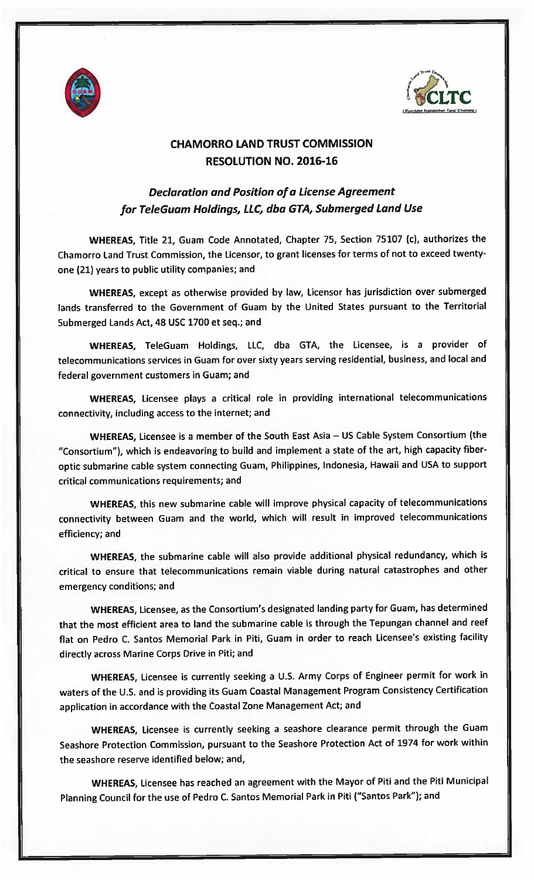



## CHAMORRO LAND TRUST COMMISSION RESOLUTION NO. 2016-16

## Declaration and Position of <sup>a</sup> License Agreement for TeleGuam Holdings, LLC, dba GTA, Submerged Land Use

WHEREAS, Title 21, Guam Code Annotated, Chapter 75, Section <sup>75107</sup> (c), authorizes the Chamorro Land Trust Commission, the Licensor, to gran<sup>t</sup> licenses for terms of not to exceed twentyone (21) years to public utility companies; and

WHEREAS, excep<sup>t</sup> as otherwise provided by law, Licensor has jurisdiction over submerged lands transferred to the Government of Guam by the United States pursuan<sup>t</sup> to the Territorial Submerged Lands Act, 48 USC 1700 et seq.; and

WHEREAS, TeleGuam Holdings, LLC, dba GTA, the Licensee, is <sup>a</sup> provider of telecommunications services in Guam for over sixty years serving residential, business, and local and federal governmen<sup>t</sup> customers in Guam; and

WHEREAS, Licensee <sup>p</sup>lays <sup>a</sup> critical role in providing international telecommunications connectivity, including access to the internet; and

WHEREAS, Licensee is <sup>a</sup> member of the South East Asia — US Cable System Consortium (the "Consortium"), which is endeavoring to build and implement <sup>a</sup> state of the art, high capacity fiberoptic submarine cable system connecting Guam, Philippines, Indonesia, Hawaii and USA to suppor<sup>t</sup> critical communications requirements; and

WHEREAS, this new submarine cable will improve <sup>p</sup>hysical capacity of telecommunications connectivity between Guam and the world, which will result in improved telecommunications efficiency; and

WHEREAS, the submarine cable will also provide additional <sup>p</sup>hysical redundancy, which is critical to ensure that telecommunications remain viable during natural catastrophes and other emergency conditions; and

WHEREAS, Licensee, as the Consortium's designated landing party for Guam, has determined that the most efficient area to land the submarine cable is through the Tepungan channel and reef flat on Pedro C. Santos Memorial Park in Piti, Guam in order to reach Licensee's existing facility directly across Marine Corps Drive in Piti; and

WHEREAS, Licensee is currently seeking <sup>a</sup> U.S. Army Corps of Engineer permit for work in waters of the U.S. and is providing its Guam Coastal Management Program Consistency Certification application in accordance with the Coastal Zone Management Act; and

WHEREAS, Licensee is currently seeking <sup>a</sup> seashore clearance permit through the Guam Seashore Protection Commission, pursuan<sup>t</sup> to the Seashore Protection Act of <sup>1974</sup> for work within the seashore reserve identified below; and,

WHEREAS, Licensee has reached an agreemen<sup>t</sup> with the Mayor of Piti and the Piti Municipal Planning Council for the use of Pedro C. Santos Memorial Park in Piti ("Santos Park"); and